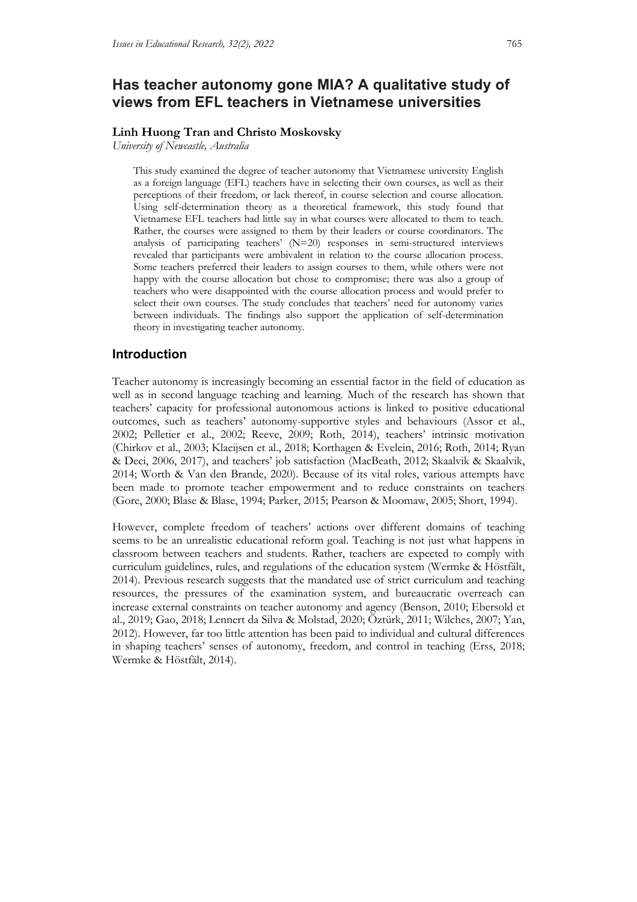# **Has teacher autonomy gone MIA? A qualitative study of views from EFL teachers in Vietnamese universities**

#### **Linh Huong Tran and Christo Moskovsky**

*University of Newcastle, Australia*

This study examined the degree of teacher autonomy that Vietnamese university English as a foreign language (EFL) teachers have in selecting their own courses, as well as their perceptions of their freedom, or lack thereof, in course selection and course allocation. Using self-determination theory as a theoretical framework, this study found that Vietnamese EFL teachers had little say in what courses were allocated to them to teach. Rather, the courses were assigned to them by their leaders or course coordinators. The analysis of participating teachers' (N=20) responses in semi-structured interviews revealed that participants were ambivalent in relation to the course allocation process. Some teachers preferred their leaders to assign courses to them, while others were not happy with the course allocation but chose to compromise; there was also a group of teachers who were disappointed with the course allocation process and would prefer to select their own courses. The study concludes that teachers' need for autonomy varies between individuals. The findings also support the application of self-determination theory in investigating teacher autonomy.

### **Introduction**

Teacher autonomy is increasingly becoming an essential factor in the field of education as well as in second language teaching and learning. Much of the research has shown that teachers' capacity for professional autonomous actions is linked to positive educational outcomes, such as teachers' autonomy-supportive styles and behaviours (Assor et al., 2002; Pelletier et al., 2002; Reeve, 2009; Roth, 2014), teachers' intrinsic motivation (Chirkov et al., 2003; Klaeijsen et al., 2018; Korthagen & Evelein, 2016; Roth, 2014; Ryan & Deci, 2006, 2017), and teachers' job satisfaction (MacBeath, 2012; Skaalvik & Skaalvik, 2014; Worth & Van den Brande, 2020). Because of its vital roles, various attempts have been made to promote teacher empowerment and to reduce constraints on teachers (Gore, 2000; Blase & Blase, 1994; Parker, 2015; Pearson & Moomaw, 2005; Short, 1994).

However, complete freedom of teachers' actions over different domains of teaching seems to be an unrealistic educational reform goal. Teaching is not just what happens in classroom between teachers and students. Rather, teachers are expected to comply with curriculum guidelines, rules, and regulations of the education system (Wermke & Höstfält, 2014). Previous research suggests that the mandated use of strict curriculum and teaching resources, the pressures of the examination system, and bureaucratic overreach can increase external constraints on teacher autonomy and agency (Benson, 2010; Ebersold et al., 2019; Gao, 2018; Lennert da Silva & Molstad, 2020; Öztürk, 2011; Wilches, 2007; Yan, 2012). However, far too little attention has been paid to individual and cultural differences in shaping teachers' senses of autonomy, freedom, and control in teaching (Erss, 2018; Wermke & Höstfält, 2014).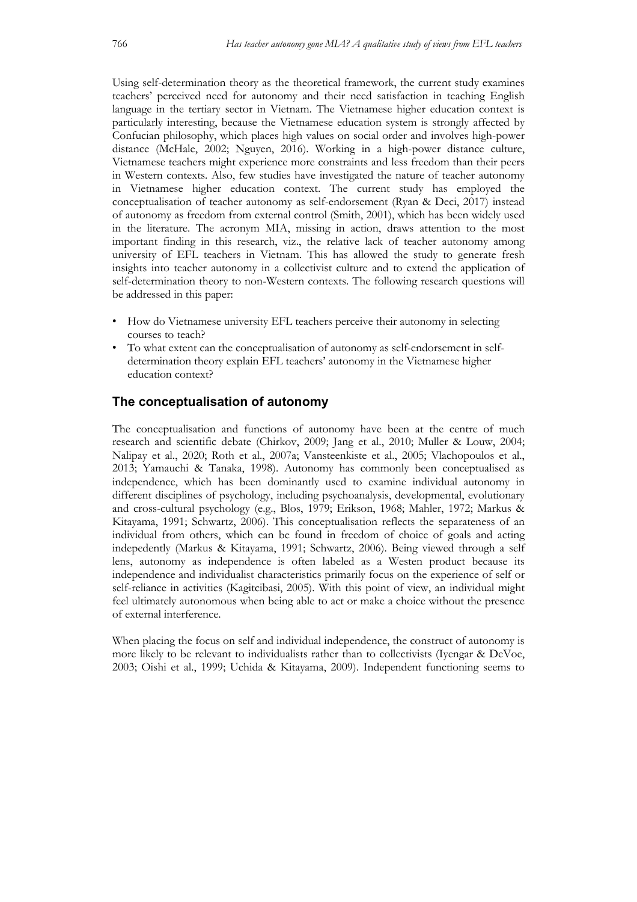Using self-determination theory as the theoretical framework, the current study examines teachers' perceived need for autonomy and their need satisfaction in teaching English language in the tertiary sector in Vietnam. The Vietnamese higher education context is particularly interesting, because the Vietnamese education system is strongly affected by Confucian philosophy, which places high values on social order and involves high-power distance (McHale, 2002; Nguyen, 2016). Working in a high-power distance culture, Vietnamese teachers might experience more constraints and less freedom than their peers in Western contexts. Also, few studies have investigated the nature of teacher autonomy in Vietnamese higher education context. The current study has employed the conceptualisation of teacher autonomy as self-endorsement (Ryan & Deci, 2017) instead of autonomy as freedom from external control (Smith, 2001), which has been widely used in the literature. The acronym MIA, missing in action, draws attention to the most important finding in this research, viz., the relative lack of teacher autonomy among university of EFL teachers in Vietnam. This has allowed the study to generate fresh insights into teacher autonomy in a collectivist culture and to extend the application of self-determination theory to non-Western contexts. The following research questions will be addressed in this paper:

- How do Vietnamese university EFL teachers perceive their autonomy in selecting courses to teach?
- To what extent can the conceptualisation of autonomy as self-endorsement in selfdetermination theory explain EFL teachers' autonomy in the Vietnamese higher education context?

#### **The conceptualisation of autonomy**

The conceptualisation and functions of autonomy have been at the centre of much research and scientific debate (Chirkov, 2009; Jang et al., 2010; Muller & Louw, 2004; Nalipay et al., 2020; Roth et al., 2007a; Vansteenkiste et al., 2005; Vlachopoulos et al., 2013; Yamauchi & Tanaka, 1998). Autonomy has commonly been conceptualised as independence, which has been dominantly used to examine individual autonomy in different disciplines of psychology, including psychoanalysis, developmental, evolutionary and cross-cultural psychology (e.g., Blos, 1979; Erikson, 1968; Mahler, 1972; Markus & Kitayama, 1991; Schwartz, 2006). This conceptualisation reflects the separateness of an individual from others, which can be found in freedom of choice of goals and acting indepedently (Markus & Kitayama, 1991; Schwartz, 2006). Being viewed through a self lens, autonomy as independence is often labeled as a Westen product because its independence and individualist characteristics primarily focus on the experience of self or self-reliance in activities (Kagitcibasi, 2005). With this point of view, an individual might feel ultimately autonomous when being able to act or make a choice without the presence of external interference.

When placing the focus on self and individual independence, the construct of autonomy is more likely to be relevant to individualists rather than to collectivists (Iyengar & DeVoe, 2003; Oishi et al., 1999; Uchida & Kitayama, 2009). Independent functioning seems to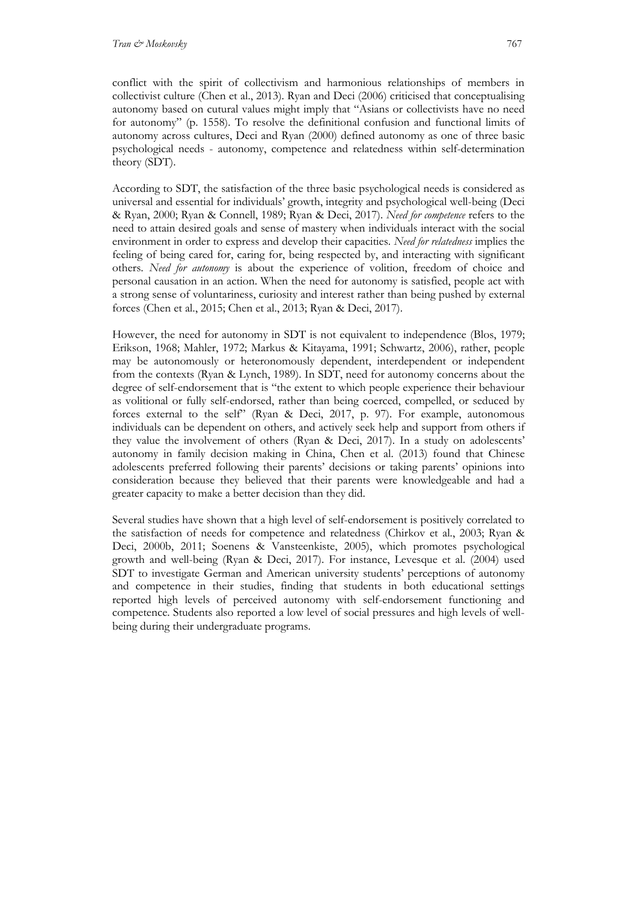conflict with the spirit of collectivism and harmonious relationships of members in collectivist culture (Chen et al., 2013). Ryan and Deci (2006) criticised that conceptualising autonomy based on cutural values might imply that "Asians or collectivists have no need for autonomy" (p. 1558). To resolve the definitional confusion and functional limits of autonomy across cultures, Deci and Ryan (2000) defined autonomy as one of three basic psychological needs - autonomy, competence and relatedness within self-determination theory (SDT).

According to SDT, the satisfaction of the three basic psychological needs is considered as universal and essential for individuals' growth, integrity and psychological well-being (Deci & Ryan, 2000; Ryan & Connell, 1989; Ryan & Deci, 2017). *Need for competence* refers to the need to attain desired goals and sense of mastery when individuals interact with the social environment in order to express and develop their capacities. *Need for relatedness* implies the feeling of being cared for, caring for, being respected by, and interacting with significant others. *Need for autonomy* is about the experience of volition, freedom of choice and personal causation in an action. When the need for autonomy is satisfied, people act with a strong sense of voluntariness, curiosity and interest rather than being pushed by external forces (Chen et al., 2015; Chen et al., 2013; Ryan & Deci, 2017).

However, the need for autonomy in SDT is not equivalent to independence (Blos, 1979; Erikson, 1968; Mahler, 1972; Markus & Kitayama, 1991; Schwartz, 2006), rather, people may be autonomously or heteronomously dependent, interdependent or independent from the contexts (Ryan & Lynch, 1989). In SDT, need for autonomy concerns about the degree of self-endorsement that is "the extent to which people experience their behaviour as volitional or fully self-endorsed, rather than being coerced, compelled, or seduced by forces external to the self" (Ryan & Deci, 2017, p. 97). For example, autonomous individuals can be dependent on others, and actively seek help and support from others if they value the involvement of others (Ryan & Deci, 2017). In a study on adolescents' autonomy in family decision making in China, Chen et al. (2013) found that Chinese adolescents preferred following their parents' decisions or taking parents' opinions into consideration because they believed that their parents were knowledgeable and had a greater capacity to make a better decision than they did.

Several studies have shown that a high level of self-endorsement is positively correlated to the satisfaction of needs for competence and relatedness (Chirkov et al., 2003; Ryan & Deci, 2000b, 2011; Soenens & Vansteenkiste, 2005), which promotes psychological growth and well-being (Ryan & Deci, 2017). For instance, Levesque et al. (2004) used SDT to investigate German and American university students' perceptions of autonomy and competence in their studies, finding that students in both educational settings reported high levels of perceived autonomy with self-endorsement functioning and competence. Students also reported a low level of social pressures and high levels of wellbeing during their undergraduate programs.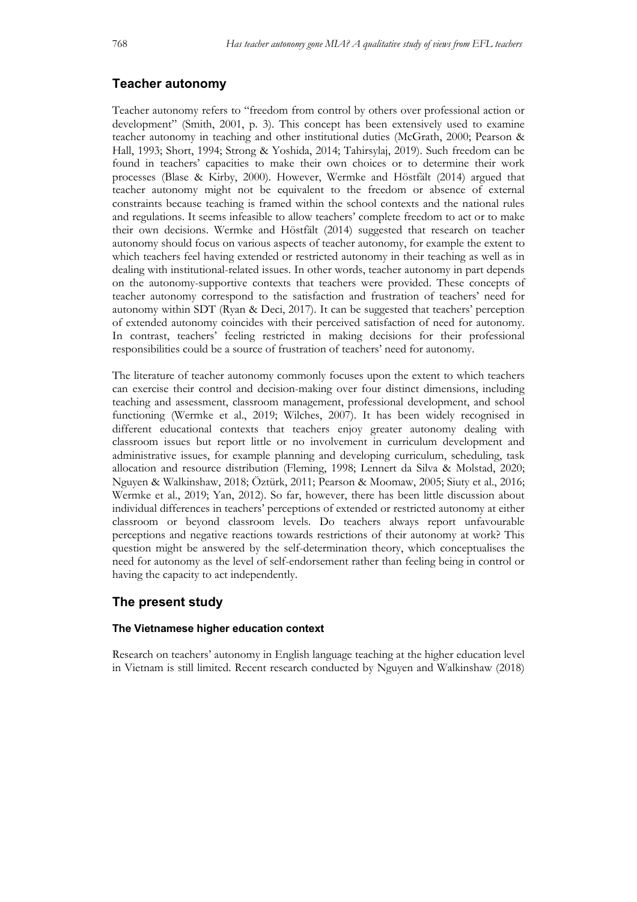# **Teacher autonomy**

Teacher autonomy refers to "freedom from control by others over professional action or development" (Smith, 2001, p. 3). This concept has been extensively used to examine teacher autonomy in teaching and other institutional duties (McGrath, 2000; Pearson & Hall, 1993; Short, 1994; Strong & Yoshida, 2014; Tahirsylaj, 2019). Such freedom can be found in teachers' capacities to make their own choices or to determine their work processes (Blase & Kirby, 2000). However, Wermke and Höstfält (2014) argued that teacher autonomy might not be equivalent to the freedom or absence of external constraints because teaching is framed within the school contexts and the national rules and regulations. It seems infeasible to allow teachers' complete freedom to act or to make their own decisions. Wermke and Höstfält (2014) suggested that research on teacher autonomy should focus on various aspects of teacher autonomy, for example the extent to which teachers feel having extended or restricted autonomy in their teaching as well as in dealing with institutional-related issues. In other words, teacher autonomy in part depends on the autonomy-supportive contexts that teachers were provided. These concepts of teacher autonomy correspond to the satisfaction and frustration of teachers' need for autonomy within SDT (Ryan & Deci, 2017). It can be suggested that teachers' perception of extended autonomy coincides with their perceived satisfaction of need for autonomy. In contrast, teachers' feeling restricted in making decisions for their professional responsibilities could be a source of frustration of teachers' need for autonomy.

The literature of teacher autonomy commonly focuses upon the extent to which teachers can exercise their control and decision-making over four distinct dimensions, including teaching and assessment, classroom management, professional development, and school functioning (Wermke et al., 2019; Wilches, 2007). It has been widely recognised in different educational contexts that teachers enjoy greater autonomy dealing with classroom issues but report little or no involvement in curriculum development and administrative issues, for example planning and developing curriculum, scheduling, task allocation and resource distribution (Fleming, 1998; Lennert da Silva & Molstad, 2020; Nguyen & Walkinshaw, 2018; Öztürk, 2011; Pearson & Moomaw, 2005; Siuty et al., 2016; Wermke et al., 2019; Yan, 2012). So far, however, there has been little discussion about individual differences in teachers' perceptions of extended or restricted autonomy at either classroom or beyond classroom levels. Do teachers always report unfavourable perceptions and negative reactions towards restrictions of their autonomy at work? This question might be answered by the self-determination theory, which conceptualises the need for autonomy as the level of self-endorsement rather than feeling being in control or having the capacity to act independently.

### **The present study**

#### **The Vietnamese higher education context**

Research on teachers' autonomy in English language teaching at the higher education level in Vietnam is still limited. Recent research conducted by Nguyen and Walkinshaw (2018)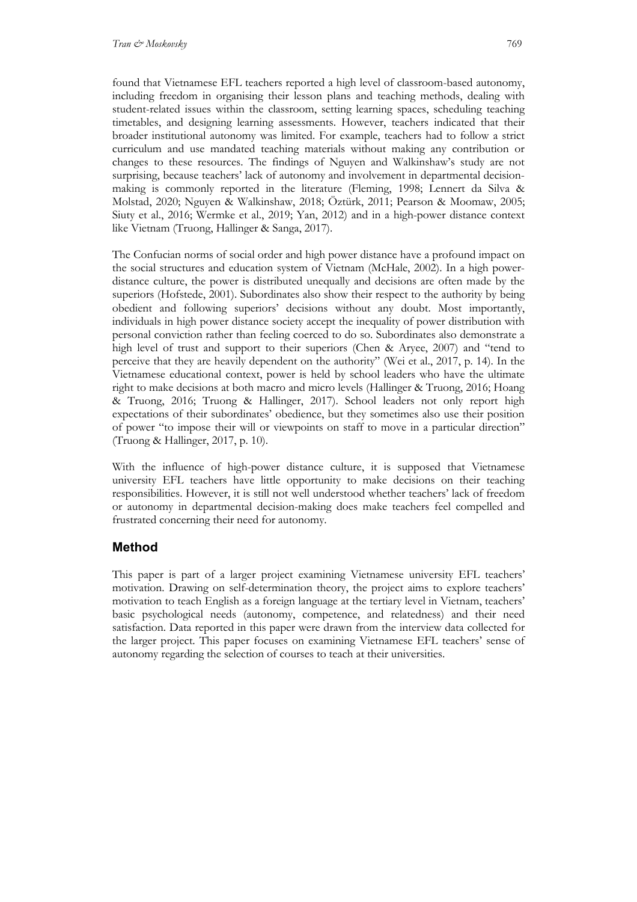found that Vietnamese EFL teachers reported a high level of classroom-based autonomy, including freedom in organising their lesson plans and teaching methods, dealing with student-related issues within the classroom, setting learning spaces, scheduling teaching timetables, and designing learning assessments. However, teachers indicated that their broader institutional autonomy was limited. For example, teachers had to follow a strict curriculum and use mandated teaching materials without making any contribution or changes to these resources. The findings of Nguyen and Walkinshaw's study are not surprising, because teachers' lack of autonomy and involvement in departmental decisionmaking is commonly reported in the literature (Fleming, 1998; Lennert da Silva & Molstad, 2020; Nguyen & Walkinshaw, 2018; Öztürk, 2011; Pearson & Moomaw, 2005; Siuty et al., 2016; Wermke et al., 2019; Yan, 2012) and in a high-power distance context like Vietnam (Truong, Hallinger & Sanga, 2017).

The Confucian norms of social order and high power distance have a profound impact on the social structures and education system of Vietnam (McHale, 2002). In a high powerdistance culture, the power is distributed unequally and decisions are often made by the superiors (Hofstede, 2001). Subordinates also show their respect to the authority by being obedient and following superiors' decisions without any doubt. Most importantly, individuals in high power distance society accept the inequality of power distribution with personal conviction rather than feeling coerced to do so. Subordinates also demonstrate a high level of trust and support to their superiors (Chen & Aryee, 2007) and "tend to perceive that they are heavily dependent on the authority" (Wei et al., 2017, p. 14). In the Vietnamese educational context, power is held by school leaders who have the ultimate right to make decisions at both macro and micro levels (Hallinger & Truong, 2016; Hoang & Truong, 2016; Truong & Hallinger, 2017). School leaders not only report high expectations of their subordinates' obedience, but they sometimes also use their position of power "to impose their will or viewpoints on staff to move in a particular direction" (Truong & Hallinger, 2017, p. 10).

With the influence of high-power distance culture, it is supposed that Vietnamese university EFL teachers have little opportunity to make decisions on their teaching responsibilities. However, it is still not well understood whether teachers' lack of freedom or autonomy in departmental decision-making does make teachers feel compelled and frustrated concerning their need for autonomy.

# **Method**

This paper is part of a larger project examining Vietnamese university EFL teachers' motivation. Drawing on self-determination theory, the project aims to explore teachers' motivation to teach English as a foreign language at the tertiary level in Vietnam, teachers' basic psychological needs (autonomy, competence, and relatedness) and their need satisfaction. Data reported in this paper were drawn from the interview data collected for the larger project. This paper focuses on examining Vietnamese EFL teachers' sense of autonomy regarding the selection of courses to teach at their universities.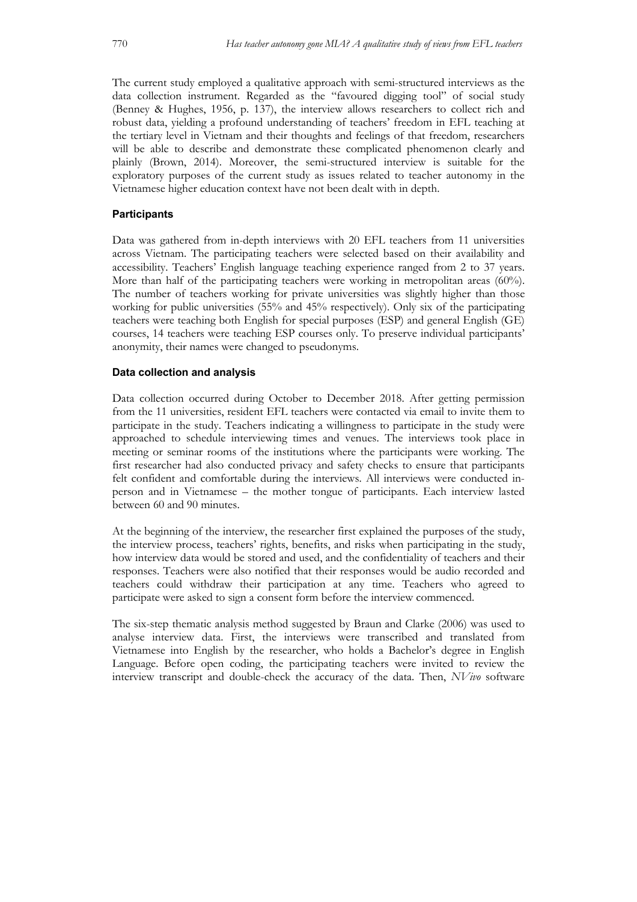The current study employed a qualitative approach with semi-structured interviews as the data collection instrument. Regarded as the "favoured digging tool" of social study (Benney & Hughes, 1956, p. 137), the interview allows researchers to collect rich and robust data, yielding a profound understanding of teachers' freedom in EFL teaching at the tertiary level in Vietnam and their thoughts and feelings of that freedom, researchers will be able to describe and demonstrate these complicated phenomenon clearly and plainly (Brown, 2014). Moreover, the semi-structured interview is suitable for the exploratory purposes of the current study as issues related to teacher autonomy in the Vietnamese higher education context have not been dealt with in depth.

#### **Participants**

Data was gathered from in-depth interviews with 20 EFL teachers from 11 universities across Vietnam. The participating teachers were selected based on their availability and accessibility. Teachers' English language teaching experience ranged from 2 to 37 years. More than half of the participating teachers were working in metropolitan areas (60%). The number of teachers working for private universities was slightly higher than those working for public universities (55% and 45% respectively). Only six of the participating teachers were teaching both English for special purposes (ESP) and general English (GE) courses, 14 teachers were teaching ESP courses only. To preserve individual participants' anonymity, their names were changed to pseudonyms.

#### **Data collection and analysis**

Data collection occurred during October to December 2018. After getting permission from the 11 universities, resident EFL teachers were contacted via email to invite them to participate in the study. Teachers indicating a willingness to participate in the study were approached to schedule interviewing times and venues. The interviews took place in meeting or seminar rooms of the institutions where the participants were working. The first researcher had also conducted privacy and safety checks to ensure that participants felt confident and comfortable during the interviews. All interviews were conducted inperson and in Vietnamese – the mother tongue of participants. Each interview lasted between 60 and 90 minutes.

At the beginning of the interview, the researcher first explained the purposes of the study, the interview process, teachers' rights, benefits, and risks when participating in the study, how interview data would be stored and used, and the confidentiality of teachers and their responses. Teachers were also notified that their responses would be audio recorded and teachers could withdraw their participation at any time. Teachers who agreed to participate were asked to sign a consent form before the interview commenced.

The six-step thematic analysis method suggested by Braun and Clarke (2006) was used to analyse interview data. First, the interviews were transcribed and translated from Vietnamese into English by the researcher, who holds a Bachelor's degree in English Language. Before open coding, the participating teachers were invited to review the interview transcript and double-check the accuracy of the data. Then, *NVivo* software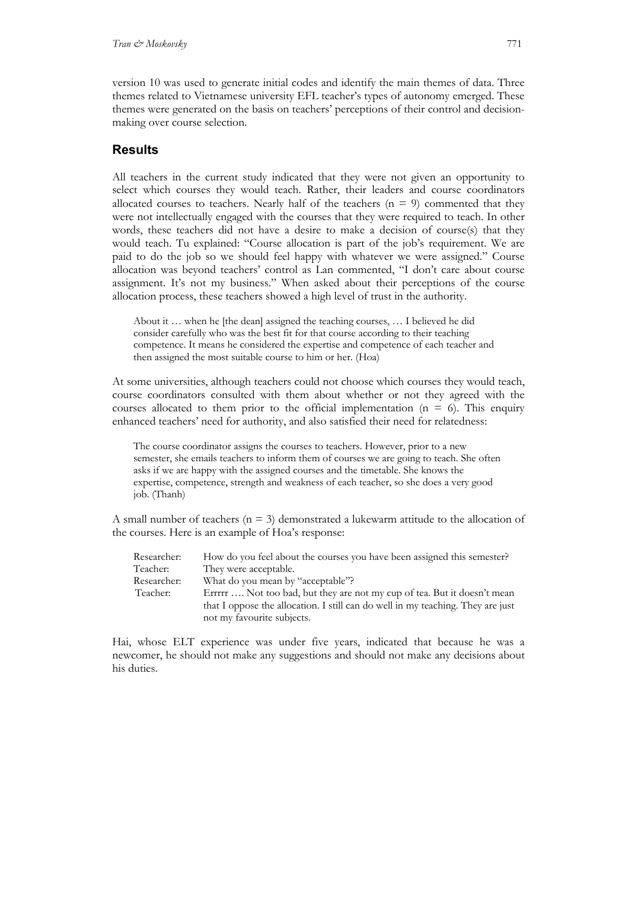version 10 was used to generate initial codes and identify the main themes of data. Three themes related to Vietnamese university EFL teacher's types of autonomy emerged. These themes were generated on the basis on teachers' perceptions of their control and decisionmaking over course selection.

# **Results**

All teachers in the current study indicated that they were not given an opportunity to select which courses they would teach. Rather, their leaders and course coordinators allocated courses to teachers. Nearly half of the teachers ( $n = 9$ ) commented that they were not intellectually engaged with the courses that they were required to teach. In other words, these teachers did not have a desire to make a decision of course(s) that they would teach. Tu explained: "Course allocation is part of the job's requirement. We are paid to do the job so we should feel happy with whatever we were assigned." Course allocation was beyond teachers' control as Lan commented, "I don't care about course assignment. It's not my business." When asked about their perceptions of the course allocation process, these teachers showed a high level of trust in the authority.

About it … when he [the dean] assigned the teaching courses, … I believed he did consider carefully who was the best fit for that course according to their teaching competence. It means he considered the expertise and competence of each teacher and then assigned the most suitable course to him or her. (Hoa)

At some universities, although teachers could not choose which courses they would teach, course coordinators consulted with them about whether or not they agreed with the courses allocated to them prior to the official implementation  $(n = 6)$ . This enquiry enhanced teachers' need for authority, and also satisfied their need for relatedness:

The course coordinator assigns the courses to teachers. However, prior to a new semester, she emails teachers to inform them of courses we are going to teach. She often asks if we are happy with the assigned courses and the timetable. She knows the expertise, competence, strength and weakness of each teacher, so she does a very good job. (Thanh)

A small number of teachers ( $n = 3$ ) demonstrated a lukewarm attitude to the allocation of the courses. Here is an example of Hoa's response:

| Researcher: | How do you feel about the courses you have been assigned this semester?         |
|-------------|---------------------------------------------------------------------------------|
| Teacher:    | They were acceptable.                                                           |
| Researcher: | What do you mean by "acceptable"?                                               |
| Teacher:    | Errrrr  Not too bad, but they are not my cup of tea. But it doesn't mean        |
|             | that I oppose the allocation. I still can do well in my teaching. They are just |
|             | not my favourite subjects.                                                      |

Hai, whose ELT experience was under five years, indicated that because he was a newcomer, he should not make any suggestions and should not make any decisions about his duties.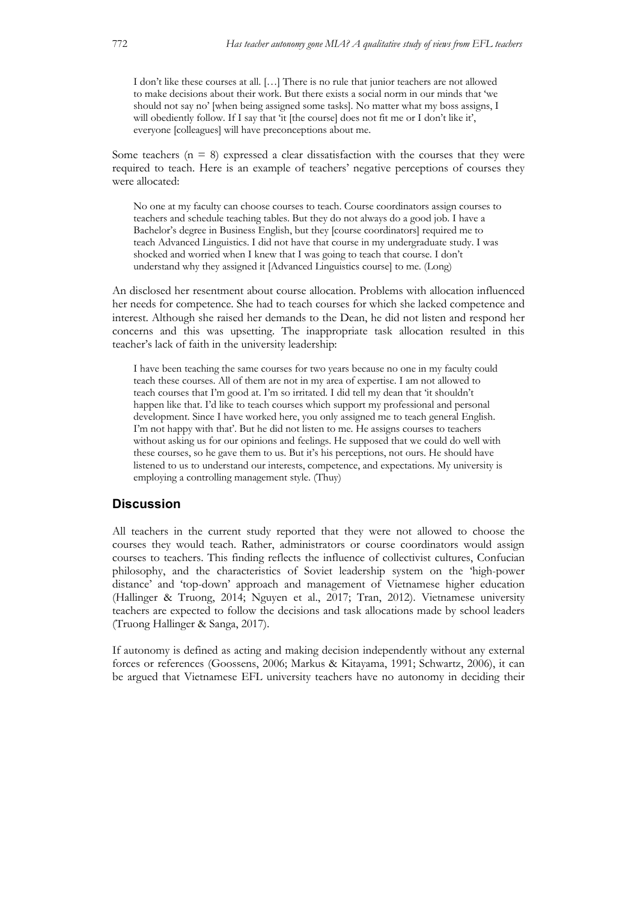I don't like these courses at all. […] There is no rule that junior teachers are not allowed to make decisions about their work. But there exists a social norm in our minds that 'we should not say no' [when being assigned some tasks]. No matter what my boss assigns, I will obediently follow. If I say that 'it [the course] does not fit me or I don't like it', everyone [colleagues] will have preconceptions about me.

Some teachers ( $n = 8$ ) expressed a clear dissatisfaction with the courses that they were required to teach. Here is an example of teachers' negative perceptions of courses they were allocated:

No one at my faculty can choose courses to teach. Course coordinators assign courses to teachers and schedule teaching tables. But they do not always do a good job. I have a Bachelor's degree in Business English, but they [course coordinators] required me to teach Advanced Linguistics. I did not have that course in my undergraduate study. I was shocked and worried when I knew that I was going to teach that course. I don't understand why they assigned it [Advanced Linguistics course] to me. (Long)

An disclosed her resentment about course allocation. Problems with allocation influenced her needs for competence. She had to teach courses for which she lacked competence and interest. Although she raised her demands to the Dean, he did not listen and respond her concerns and this was upsetting. The inappropriate task allocation resulted in this teacher's lack of faith in the university leadership:

I have been teaching the same courses for two years because no one in my faculty could teach these courses. All of them are not in my area of expertise. I am not allowed to teach courses that I'm good at. I'm so irritated. I did tell my dean that 'it shouldn't happen like that. I'd like to teach courses which support my professional and personal development. Since I have worked here, you only assigned me to teach general English. I'm not happy with that'. But he did not listen to me. He assigns courses to teachers without asking us for our opinions and feelings. He supposed that we could do well with these courses, so he gave them to us. But it's his perceptions, not ours. He should have listened to us to understand our interests, competence, and expectations. My university is employing a controlling management style. (Thuy)

#### **Discussion**

All teachers in the current study reported that they were not allowed to choose the courses they would teach. Rather, administrators or course coordinators would assign courses to teachers. This finding reflects the influence of collectivist cultures, Confucian philosophy, and the characteristics of Soviet leadership system on the 'high-power distance' and 'top-down' approach and management of Vietnamese higher education (Hallinger & Truong, 2014; Nguyen et al., 2017; Tran, 2012). Vietnamese university teachers are expected to follow the decisions and task allocations made by school leaders (Truong Hallinger & Sanga, 2017).

If autonomy is defined as acting and making decision independently without any external forces or references (Goossens, 2006; Markus & Kitayama, 1991; Schwartz, 2006), it can be argued that Vietnamese EFL university teachers have no autonomy in deciding their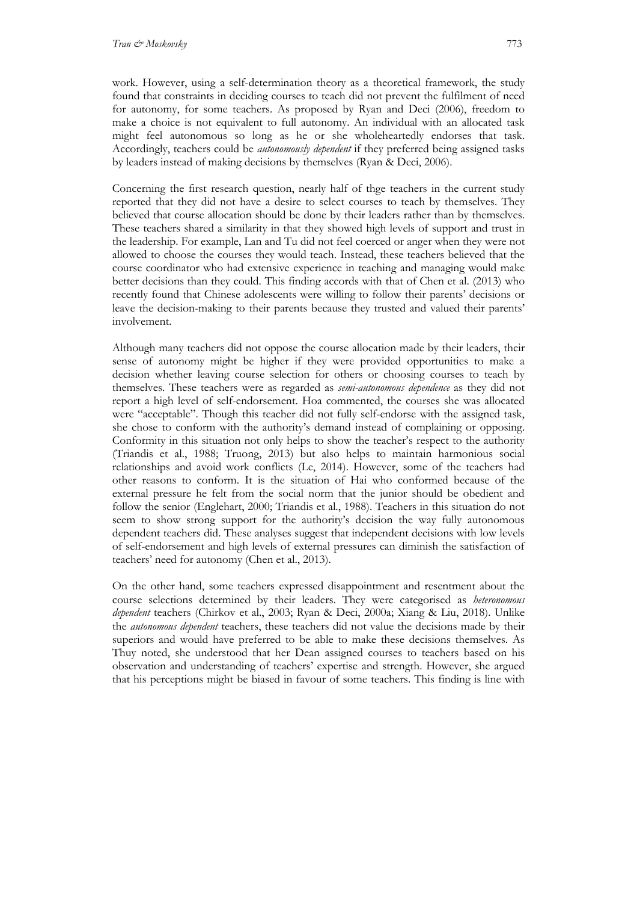work. However, using a self-determination theory as a theoretical framework, the study found that constraints in deciding courses to teach did not prevent the fulfilment of need for autonomy, for some teachers. As proposed by Ryan and Deci (2006), freedom to make a choice is not equivalent to full autonomy. An individual with an allocated task might feel autonomous so long as he or she wholeheartedly endorses that task. Accordingly, teachers could be *autonomously dependent* if they preferred being assigned tasks by leaders instead of making decisions by themselves (Ryan & Deci, 2006).

Concerning the first research question, nearly half of thge teachers in the current study reported that they did not have a desire to select courses to teach by themselves. They believed that course allocation should be done by their leaders rather than by themselves. These teachers shared a similarity in that they showed high levels of support and trust in the leadership. For example, Lan and Tu did not feel coerced or anger when they were not allowed to choose the courses they would teach. Instead, these teachers believed that the course coordinator who had extensive experience in teaching and managing would make better decisions than they could. This finding accords with that of Chen et al. (2013) who recently found that Chinese adolescents were willing to follow their parents' decisions or leave the decision-making to their parents because they trusted and valued their parents' involvement.

Although many teachers did not oppose the course allocation made by their leaders, their sense of autonomy might be higher if they were provided opportunities to make a decision whether leaving course selection for others or choosing courses to teach by themselves. These teachers were as regarded as *semi-autonomous dependence* as they did not report a high level of self-endorsement. Hoa commented, the courses she was allocated were "acceptable". Though this teacher did not fully self-endorse with the assigned task, she chose to conform with the authority's demand instead of complaining or opposing. Conformity in this situation not only helps to show the teacher's respect to the authority (Triandis et al., 1988; Truong, 2013) but also helps to maintain harmonious social relationships and avoid work conflicts (Le, 2014). However, some of the teachers had other reasons to conform. It is the situation of Hai who conformed because of the external pressure he felt from the social norm that the junior should be obedient and follow the senior (Englehart, 2000; Triandis et al., 1988). Teachers in this situation do not seem to show strong support for the authority's decision the way fully autonomous dependent teachers did. These analyses suggest that independent decisions with low levels of self-endorsement and high levels of external pressures can diminish the satisfaction of teachers' need for autonomy (Chen et al., 2013).

On the other hand, some teachers expressed disappointment and resentment about the course selections determined by their leaders. They were categorised as *heteronomous dependent* teachers (Chirkov et al., 2003; Ryan & Deci, 2000a; Xiang & Liu, 2018). Unlike the *autonomous dependent* teachers, these teachers did not value the decisions made by their superiors and would have preferred to be able to make these decisions themselves. As Thuy noted, she understood that her Dean assigned courses to teachers based on his observation and understanding of teachers' expertise and strength. However, she argued that his perceptions might be biased in favour of some teachers. This finding is line with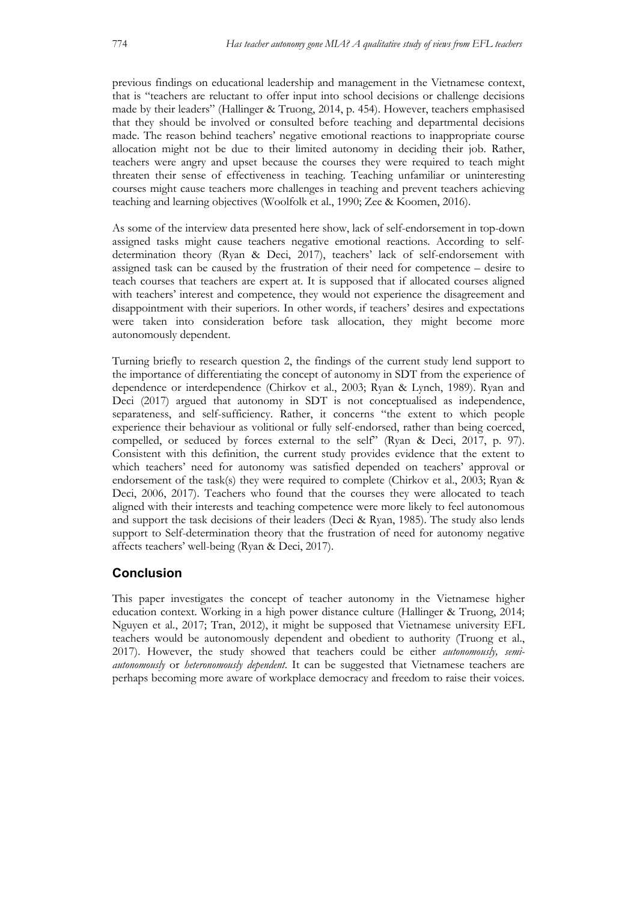previous findings on educational leadership and management in the Vietnamese context, that is "teachers are reluctant to offer input into school decisions or challenge decisions made by their leaders" (Hallinger & Truong, 2014, p. 454). However, teachers emphasised that they should be involved or consulted before teaching and departmental decisions made. The reason behind teachers' negative emotional reactions to inappropriate course allocation might not be due to their limited autonomy in deciding their job. Rather, teachers were angry and upset because the courses they were required to teach might threaten their sense of effectiveness in teaching. Teaching unfamiliar or uninteresting courses might cause teachers more challenges in teaching and prevent teachers achieving teaching and learning objectives (Woolfolk et al., 1990; Zee & Koomen, 2016).

As some of the interview data presented here show, lack of self-endorsement in top-down assigned tasks might cause teachers negative emotional reactions. According to selfdetermination theory (Ryan & Deci, 2017), teachers' lack of self-endorsement with assigned task can be caused by the frustration of their need for competence – desire to teach courses that teachers are expert at. It is supposed that if allocated courses aligned with teachers' interest and competence, they would not experience the disagreement and disappointment with their superiors. In other words, if teachers' desires and expectations were taken into consideration before task allocation, they might become more autonomously dependent.

Turning briefly to research question 2, the findings of the current study lend support to the importance of differentiating the concept of autonomy in SDT from the experience of dependence or interdependence (Chirkov et al., 2003; Ryan & Lynch, 1989). Ryan and Deci (2017) argued that autonomy in SDT is not conceptualised as independence, separateness, and self-sufficiency. Rather, it concerns "the extent to which people experience their behaviour as volitional or fully self-endorsed, rather than being coerced, compelled, or seduced by forces external to the self" (Ryan & Deci, 2017, p. 97). Consistent with this definition, the current study provides evidence that the extent to which teachers' need for autonomy was satisfied depended on teachers' approval or endorsement of the task(s) they were required to complete (Chirkov et al., 2003; Ryan & Deci, 2006, 2017). Teachers who found that the courses they were allocated to teach aligned with their interests and teaching competence were more likely to feel autonomous and support the task decisions of their leaders (Deci & Ryan, 1985). The study also lends support to Self-determination theory that the frustration of need for autonomy negative affects teachers' well-being (Ryan & Deci, 2017).

# **Conclusion**

This paper investigates the concept of teacher autonomy in the Vietnamese higher education context. Working in a high power distance culture (Hallinger & Truong, 2014; Nguyen et al., 2017; Tran, 2012), it might be supposed that Vietnamese university EFL teachers would be autonomously dependent and obedient to authority (Truong et al., 2017). However, the study showed that teachers could be either *autonomously, semiautonomously* or *heteronomously dependent*. It can be suggested that Vietnamese teachers are perhaps becoming more aware of workplace democracy and freedom to raise their voices.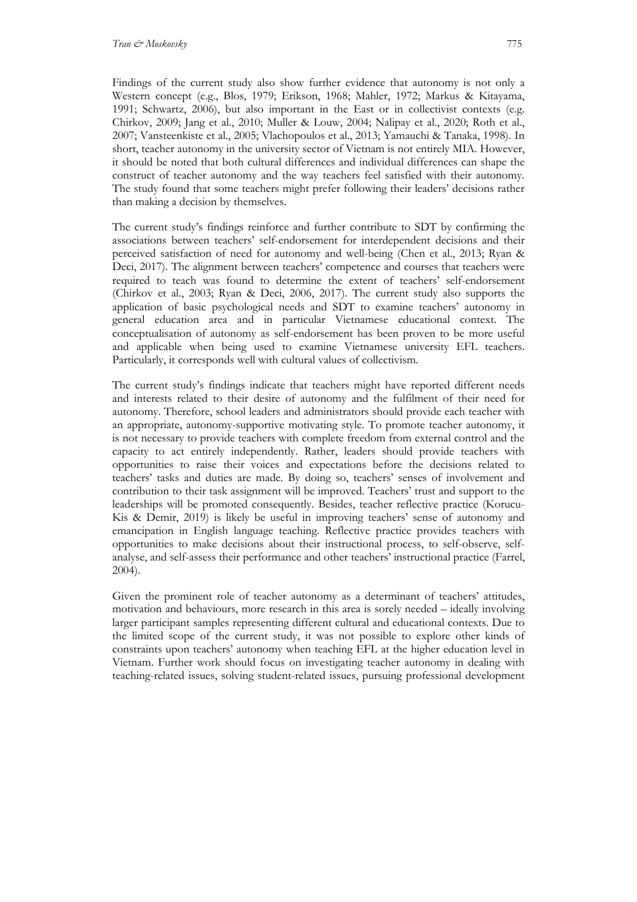Findings of the current study also show further evidence that autonomy is not only a Western concept (e.g., Blos, 1979; Erikson, 1968; Mahler, 1972; Markus & Kitayama, 1991; Schwartz, 2006), but also important in the East or in collectivist contexts (e.g. Chirkov, 2009; Jang et al., 2010; Muller & Louw, 2004; Nalipay et al., 2020; Roth et al., 2007; Vansteenkiste et al., 2005; Vlachopoulos et al., 2013; Yamauchi & Tanaka, 1998). In short, teacher autonomy in the university sector of Vietnam is not entirely MIA. However, it should be noted that both cultural differences and individual differences can shape the construct of teacher autonomy and the way teachers feel satisfied with their autonomy. The study found that some teachers might prefer following their leaders' decisions rather than making a decision by themselves.

The current study's findings reinforce and further contribute to SDT by confirming the associations between teachers' self-endorsement for interdependent decisions and their perceived satisfaction of need for autonomy and well-being (Chen et al., 2013; Ryan & Deci, 2017). The alignment between teachers' competence and courses that teachers were required to teach was found to determine the extent of teachers' self-endorsement (Chirkov et al., 2003; Ryan & Deci, 2006, 2017). The current study also supports the application of basic psychological needs and SDT to examine teachers' autonomy in general education area and in particular Vietnamese educational context. The conceptualisation of autonomy as self-endorsement has been proven to be more useful and applicable when being used to examine Vietnamese university EFL teachers. Particularly, it corresponds well with cultural values of collectivism.

The current study's findings indicate that teachers might have reported different needs and interests related to their desire of autonomy and the fulfilment of their need for autonomy. Therefore, school leaders and administrators should provide each teacher with an appropriate, autonomy-supportive motivating style. To promote teacher autonomy, it is not necessary to provide teachers with complete freedom from external control and the capacity to act entirely independently. Rather, leaders should provide teachers with opportunities to raise their voices and expectations before the decisions related to teachers' tasks and duties are made. By doing so, teachers' senses of involvement and contribution to their task assignment will be improved. Teachers' trust and support to the leaderships will be promoted consequently. Besides, teacher reflective practice (Korucu-Kis & Demir, 2019) is likely be useful in improving teachers' sense of autonomy and emancipation in English language teaching. Reflective practice provides teachers with opportunities to make decisions about their instructional process, to self-observe, selfanalyse, and self-assess their performance and other teachers' instructional practice (Farrel, 2004).

Given the prominent role of teacher autonomy as a determinant of teachers' attitudes, motivation and behaviours, more research in this area is sorely needed – ideally involving larger participant samples representing different cultural and educational contexts. Due to the limited scope of the current study, it was not possible to explore other kinds of constraints upon teachers' autonomy when teaching EFL at the higher education level in Vietnam. Further work should focus on investigating teacher autonomy in dealing with teaching-related issues, solving student-related issues, pursuing professional development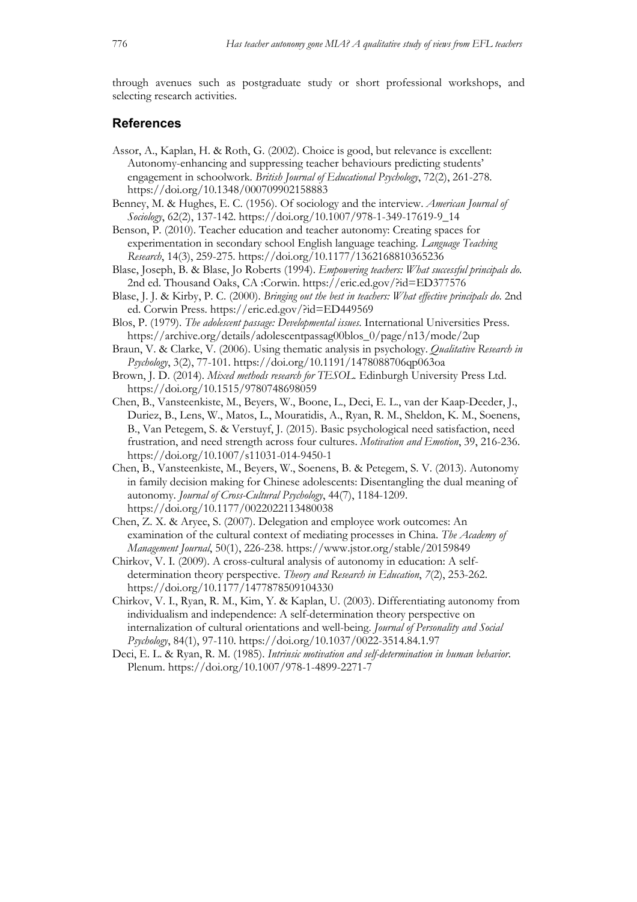through avenues such as postgraduate study or short professional workshops, and selecting research activities.

### **References**

- Assor, A., Kaplan, H. & Roth, G. (2002). Choice is good, but relevance is excellent: Autonomy-enhancing and suppressing teacher behaviours predicting students' engagement in schoolwork. *British Journal of Educational Psychology*, 72(2), 261-278. https://doi.org/10.1348/000709902158883
- Benney, M. & Hughes, E. C. (1956). Of sociology and the interview. *American Journal of Sociology*, 62(2), 137-142. https://doi.org/10.1007/978-1-349-17619-9\_14
- Benson, P. (2010). Teacher education and teacher autonomy: Creating spaces for experimentation in secondary school English language teaching. *Language Teaching Research*, 14(3), 259-275. https://doi.org/10.1177/1362168810365236
- Blase, Joseph, B. & Blase, Jo Roberts (1994). *Empowering teachers: What successful principals do.* 2nd ed. Thousand Oaks, CA :Corwin. https://eric.ed.gov/?id=ED377576
- Blase, J. J. & Kirby, P. C. (2000). *Bringing out the best in teachers: What effective principals do*. 2nd ed. Corwin Press. https://eric.ed.gov/?id=ED449569
- Blos, P. (1979). *The adolescent passage: Developmental issues*. International Universities Press. https://archive.org/details/adolescentpassag00blos\_0/page/n13/mode/2up
- Braun, V. & Clarke, V. (2006). Using thematic analysis in psychology. *Qualitative Research in Psychology*, 3(2), 77-101. https://doi.org/10.1191/1478088706qp063oa
- Brown, J. D. (2014). *Mixed methods research for TESOL*. Edinburgh University Press Ltd. https://doi.org/10.1515/9780748698059
- Chen, B., Vansteenkiste, M., Beyers, W., Boone, L., Deci, E. L., van der Kaap-Deeder, J., Duriez, B., Lens, W., Matos, L., Mouratidis, A., Ryan, R. M., Sheldon, K. M., Soenens, B., Van Petegem, S. & Verstuyf, J. (2015). Basic psychological need satisfaction, need frustration, and need strength across four cultures. *Motivation and Emotion*, 39, 216-236. https://doi.org/10.1007/s11031-014-9450-1
- Chen, B., Vansteenkiste, M., Beyers, W., Soenens, B. & Petegem, S. V. (2013). Autonomy in family decision making for Chinese adolescents: Disentangling the dual meaning of autonomy. *Journal of Cross-Cultural Psychology*, 44(7), 1184-1209. https://doi.org/10.1177/0022022113480038
- Chen, Z. X. & Aryee, S. (2007). Delegation and employee work outcomes: An examination of the cultural context of mediating processes in China. *The Academy of Management Journal*, 50(1), 226-238. https://www.jstor.org/stable/20159849
- Chirkov, V. I. (2009). A cross-cultural analysis of autonomy in education: A selfdetermination theory perspective. *Theory and Research in Education*, *7*(2), 253-262. https://doi.org/10.1177/1477878509104330
- Chirkov, V. I., Ryan, R. M., Kim, Y. & Kaplan, U. (2003). Differentiating autonomy from individualism and independence: A self-determination theory perspective on internalization of cultural orientations and well-being. *Journal of Personality and Social Psychology*, 84(1), 97-110. https://doi.org/10.1037/0022-3514.84.1.97
- Deci, E. L. & Ryan, R. M. (1985). *Intrinsic motivation and self-determination in human behavior*. Plenum. https://doi.org/10.1007/978-1-4899-2271-7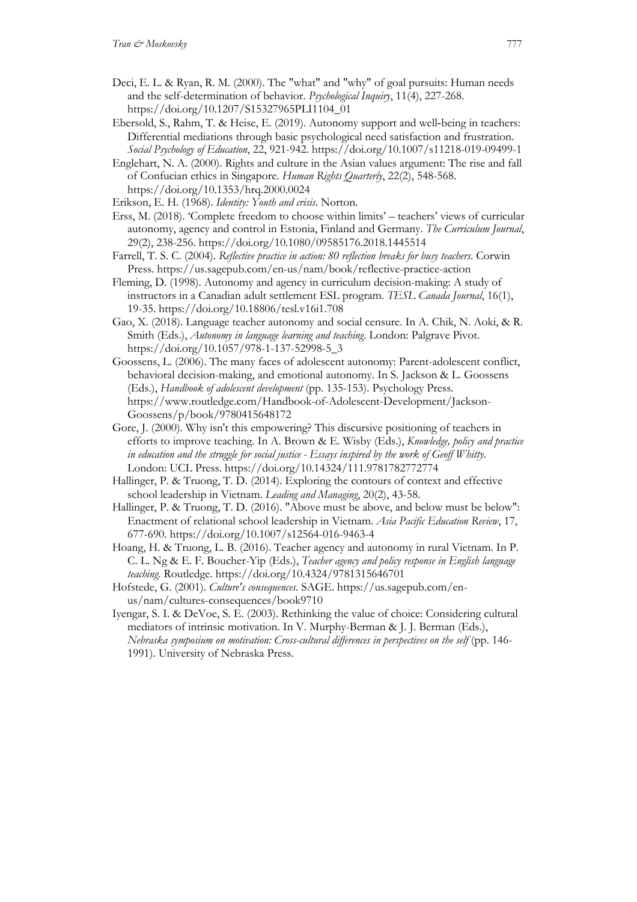- Deci, E. L. & Ryan, R. M. (2000). The "what" and "why" of goal pursuits: Human needs and the self-determination of behavior. *Psychological Inquiry*, 11(4), 227-268. https://doi.org/10.1207/S15327965PLI1104\_01
- Ebersold, S., Rahm, T. & Heise, E. (2019). Autonomy support and well‑being in teachers: Differential mediations through basic psychological need satisfaction and frustration. *Social Psychology of Education*, 22, 921-942. https://doi.org/10.1007/s11218-019-09499-1
- Englehart, N. A. (2000). Rights and culture in the Asian values argument: The rise and fall of Confucian ethics in Singapore. *Human Rights Quarterly*, 22(2), 548-568. https://doi.org/10.1353/hrq.2000.0024
- Erikson, E. H. (1968). *Identity: Youth and crisis*. Norton.
- Erss, M. (2018). 'Complete freedom to choose within limits' teachers' views of curricular autonomy, agency and control in Estonia, Finland and Germany. *The Curriculum Journal*, 29(2), 238-256. https://doi.org/10.1080/09585176.2018.1445514
- Farrell, T. S. C. (2004). *Reflective practice in action: 80 reflection breaks for busy teachers*. Corwin Press. https://us.sagepub.com/en-us/nam/book/reflective-practice-action
- Fleming, D. (1998). Autonomy and agency in curriculum decision-making: A study of instructors in a Canadian adult settlement ESL program. *TESL Canada Journal*, 16(1), 19-35. https://doi.org/10.18806/tesl.v16i1.708
- Gao, X. (2018). Language teacher autonomy and social censure. In A. Chik, N. Aoki, & R. Smith (Eds.), *Autonomy in language learning and teaching*. London: Palgrave Pivot. https://doi.org/10.1057/978-1-137-52998-5\_3
- Goossens, L. (2006). The many faces of adolescent autonomy: Parent-adolescent conflict, behavioral decision-making, and emotional autonomy. In S. Jackson & L. Goossens (Eds.), *Handbook of adolescent development* (pp. 135-153). Psychology Press. https://www.routledge.com/Handbook-of-Adolescent-Development/Jackson-Goossens/p/book/9780415648172
- Gore, J. (2000). Why isn't this empowering? This discursive positioning of teachers in efforts to improve teaching. In A. Brown & E. Wisby (Eds.), *Knowledge, policy and practice in education and the struggle for social justice - Essays inspired by the work of Geoff Whitty*. London: UCL Press. https://doi.org/10.14324/111.9781782772774
- Hallinger, P. & Truong, T. D. (2014). Exploring the contours of context and effective school leadership in Vietnam. *Leading and Managing*, 20(2), 43-58.
- Hallinger, P. & Truong, T. D. (2016). "Above must be above, and below must be below": Enactment of relational school leadership in Vietnam. *Asia Pacific Education Review*, 17, 677-690. https://doi.org/10.1007/s12564-016-9463-4
- Hoang, H. & Truong, L. B. (2016). Teacher agency and autonomy in rural Vietnam. In P. C. L. Ng & E. F. Boucher-Yip (Eds.), *Teacher agency and policy response in English language teaching*. Routledge. https://doi.org/10.4324/9781315646701
- Hofstede, G. (2001). *Culture's consequences*. SAGE. https://us.sagepub.com/enus/nam/cultures-consequences/book9710
- Iyengar, S. I. & DeVoe, S. E. (2003). Rethinking the value of choice: Considering cultural mediators of intrinsic motivation. In V. Murphy-Berman & J. J. Berman (Eds.), *Nebraska symposium on motivation: Cross-cultural differences in perspectives on the self* (pp. 146- 1991). University of Nebraska Press.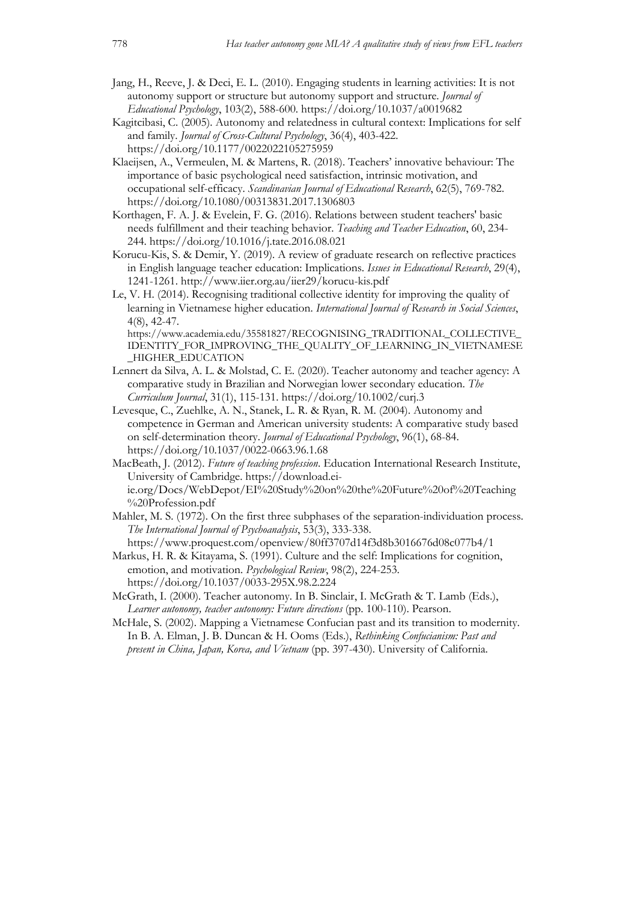- Jang, H., Reeve, J. & Deci, E. L. (2010). Engaging students in learning activities: It is not autonomy support or structure but autonomy support and structure. *Journal of Educational Psychology*, 103(2), 588-600. https://doi.org/10.1037/a0019682
- Kagitcibasi, C. (2005). Autonomy and relatedness in cultural context: Implications for self and family. *Journal of Cross-Cultural Psychology*, 36(4), 403-422. https://doi.org/10.1177/0022022105275959
- Klaeijsen, A., Vermeulen, M. & Martens, R. (2018). Teachers' innovative behaviour: The importance of basic psychological need satisfaction, intrinsic motivation, and occupational self-efficacy. *Scandinavian Journal of Educational Research*, 62(5), 769-782. https://doi.org/10.1080/00313831.2017.1306803
- Korthagen, F. A. J. & Evelein, F. G. (2016). Relations between student teachers' basic needs fulfillment and their teaching behavior. *Teaching and Teacher Education*, 60, 234- 244. https://doi.org/10.1016/j.tate.2016.08.021
- Korucu-Kis, S. & Demir, Y. (2019). A review of graduate research on reflective practices in English language teacher education: Implications. *Issues in Educational Research*, 29(4), 1241-1261. http://www.iier.org.au/iier29/korucu-kis.pdf
- Le, V. H. (2014). Recognising traditional collective identity for improving the quality of learning in Vietnamese higher education. *International Journal of Research in Social Sciences*, 4(8), 42-47.

https://www.academia.edu/35581827/RECOGNISING\_TRADITIONAL\_COLLECTIVE\_ IDENTITY\_FOR\_IMPROVING\_THE\_QUALITY\_OF\_LEARNING\_IN\_VIETNAMESE \_HIGHER\_EDUCATION

- Lennert da Silva, A. L. & Molstad, C. E. (2020). Teacher autonomy and teacher agency: A comparative study in Brazilian and Norwegian lower secondary education. *The Curriculum Journal*, 31(1), 115-131. https://doi.org/10.1002/curj.3
- Levesque, C., Zuehlke, A. N., Stanek, L. R. & Ryan, R. M. (2004). Autonomy and competence in German and American university students: A comparative study based on self-determination theory. *Journal of Educational Psychology*, 96(1), 68-84. https://doi.org/10.1037/0022-0663.96.1.68
- MacBeath, J. (2012). *Future of teaching profession*. Education International Research Institute, University of Cambridge. https://download.eiie.org/Docs/WebDepot/EI%20Study%20on%20the%20Future%20of%20Teaching %20Profession.pdf
- Mahler, M. S. (1972). On the first three subphases of the separation-individuation process. *The International Journal of Psychoanalysis*, 53(3), 333-338.

https://www.proquest.com/openview/80ff3707d14f3d8b3016676d08c077b4/1 Markus, H. R. & Kitayama, S. (1991). Culture and the self: Implications for cognition, emotion, and motivation. *Psychological Review*, 98(2), 224-253. https://doi.org/10.1037/0033-295X.98.2.224

- McGrath, I. (2000). Teacher autonomy. In B. Sinclair, I. McGrath & T. Lamb (Eds.), *Learner autonomy, teacher autonomy: Future directions* (pp. 100-110). Pearson.
- McHale, S. (2002). Mapping a Vietnamese Confucian past and its transition to modernity. In B. A. Elman, J. B. Duncan & H. Ooms (Eds.), *Rethinking Confucianism: Past and present in China, Japan, Korea, and Vietnam* (pp. 397-430). University of California.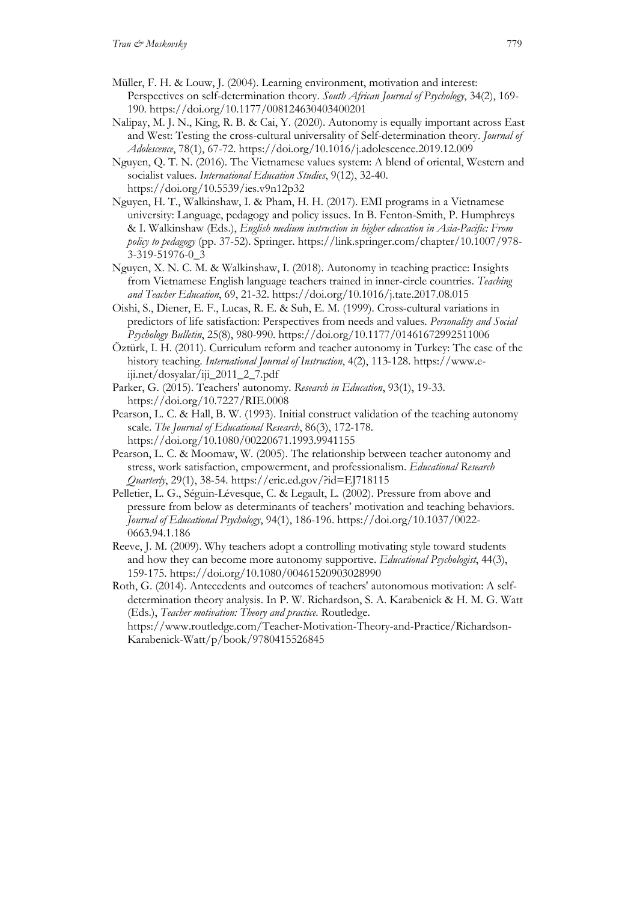- Müller, F. H. & Louw, J. (2004). Learning environment, motivation and interest: Perspectives on self-determination theory. *South African Journal of Psychology*, 34(2), 169- 190. https://doi.org/10.1177/008124630403400201
- Nalipay, M. J. N., King, R. B. & Cai, Y. (2020). Autonomy is equally important across East and West: Testing the cross-cultural universality of Self-determination theory. *Journal of Adolescence*, 78(1), 67-72. https://doi.org/10.1016/j.adolescence.2019.12.009
- Nguyen, Q. T. N. (2016). The Vietnamese values system: A blend of oriental, Western and socialist values. *International Education Studies*, 9(12), 32-40. https://doi.org/10.5539/ies.v9n12p32
- Nguyen, H. T., Walkinshaw, I. & Pham, H. H. (2017). EMI programs in a Vietnamese university: Language, pedagogy and policy issues. In B. Fenton-Smith, P. Humphreys & I. Walkinshaw (Eds.), *English medium instruction in higher education in Asia-Pacific: From policy to pedagogy* (pp. 37-52). Springer. https://link.springer.com/chapter/10.1007/978- 3-319-51976-0\_3
- Nguyen, X. N. C. M. & Walkinshaw, I. (2018). Autonomy in teaching practice: Insights from Vietnamese English language teachers trained in inner-circle countries. *Teaching and Teacher Education*, 69, 21-32. https://doi.org/10.1016/j.tate.2017.08.015
- Oishi, S., Diener, E. F., Lucas, R. E. & Suh, E. M. (1999). Cross-cultural variations in predictors of life satisfaction: Perspectives from needs and values. *Personality and Social Psychology Bulletin*, 25(8), 980-990. https://doi.org/10.1177/01461672992511006
- Öztürk, I. H. (2011). Curriculum reform and teacher autonomy in Turkey: The case of the history teaching. *International Journal of Instruction*, 4(2), 113-128. https://www.eiji.net/dosyalar/iji\_2011\_2\_7.pdf
- Parker, G. (2015). Teachers' autonomy. *Research in Education*, 93(1), 19-33. https://doi.org/10.7227/RIE.0008
- Pearson, L. C. & Hall, B. W. (1993). Initial construct validation of the teaching autonomy scale. *The Journal of Educational Research*, 86(3), 172-178. https://doi.org/10.1080/00220671.1993.9941155
- Pearson, L. C. & Moomaw, W. (2005). The relationship between teacher autonomy and stress, work satisfaction, empowerment, and professionalism. *Educational Research Quarterly*, 29(1), 38-54. https://eric.ed.gov/?id=EJ718115
- Pelletier, L. G., Séguin-Lévesque, C. & Legault, L. (2002). Pressure from above and pressure from below as determinants of teachers' motivation and teaching behaviors. *Journal of Educational Psychology*, 94(1), 186-196. https://doi.org/10.1037/0022- 0663.94.1.186
- Reeve, J. M. (2009). Why teachers adopt a controlling motivating style toward students and how they can become more autonomy supportive. *Educational Psychologist*, 44(3), 159-175. https://doi.org/10.1080/00461520903028990

Roth, G. (2014). Antecedents and outcomes of teachers' autonomous motivation: A selfdetermination theory analysis. In P. W. Richardson, S. A. Karabenick & H. M. G. Watt (Eds.), *Teacher motivation: Theory and practice*. Routledge.

https://www.routledge.com/Teacher-Motivation-Theory-and-Practice/Richardson-Karabenick-Watt/p/book/9780415526845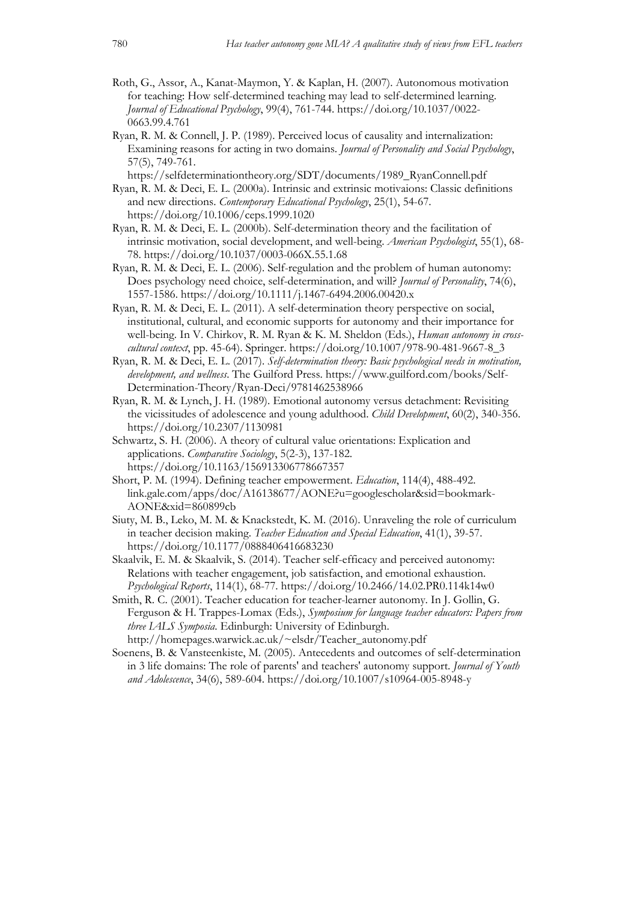- Roth, G., Assor, A., Kanat-Maymon, Y. & Kaplan, H. (2007). Autonomous motivation for teaching: How self-determined teaching may lead to self-determined learning. *Journal of Educational Psychology*, 99(4), 761-744. https://doi.org/10.1037/0022- 0663.99.4.761
- Ryan, R. M. & Connell, J. P. (1989). Perceived locus of causality and internalization: Examining reasons for acting in two domains. *Journal of Personality and Social Psychology*, 57(5), 749-761.
	- https://selfdeterminationtheory.org/SDT/documents/1989\_RyanConnell.pdf
- Ryan, R. M. & Deci, E. L. (2000a). Intrinsic and extrinsic motivaions: Classic definitions and new directions. *Contemporary Educational Psychology*, 25(1), 54-67. https://doi.org/10.1006/ceps.1999.1020
- Ryan, R. M. & Deci, E. L. (2000b). Self-determination theory and the facilitation of intrinsic motivation, social development, and well-being. *American Psychologist*, 55(1), 68- 78. https://doi.org/10.1037/0003-066X.55.1.68
- Ryan, R. M. & Deci, E. L. (2006). Self-regulation and the problem of human autonomy: Does psychology need choice, self-determination, and will? *Journal of Personality*, 74(6), 1557-1586. https://doi.org/10.1111/j.1467-6494.2006.00420.x
- Ryan, R. M. & Deci, E. L. (2011). A self-determination theory perspective on social, institutional, cultural, and economic supports for autonomy and their importance for well-being. In V. Chirkov, R. M. Ryan & K. M. Sheldon (Eds.), *Human autonomy in crosscultural context*, pp. 45-64). Springer. https://doi.org/10.1007/978-90-481-9667-8\_3
- Ryan, R. M. & Deci, E. L. (2017). *Self-determination theory: Basic psychological needs in motivation, development, and wellness*. The Guilford Press. https://www.guilford.com/books/Self-Determination-Theory/Ryan-Deci/9781462538966
- Ryan, R. M. & Lynch, J. H. (1989). Emotional autonomy versus detachment: Revisiting the vicissitudes of adolescence and young adulthood. *Child Development*, 60(2), 340-356. https://doi.org/10.2307/1130981
- Schwartz, S. H. (2006). A theory of cultural value orientations: Explication and applications. *Comparative Sociology*, 5(2-3), 137-182. https://doi.org/10.1163/156913306778667357
- Short, P. M. (1994). Defining teacher empowerment. *Education*, 114(4), 488-492. link.gale.com/apps/doc/A16138677/AONE?u=googlescholar&sid=bookmark-AONE&xid=860899cb
- Siuty, M. B., Leko, M. M. & Knackstedt, K. M. (2016). Unraveling the role of curriculum in teacher decision making. *Teacher Education and Special Education*, 41(1), 39-57. https://doi.org/10.1177/0888406416683230
- Skaalvik, E. M. & Skaalvik, S. (2014). Teacher self-efficacy and perceived autonomy: Relations with teacher engagement, job satisfaction, and emotional exhaustion. *Psychological Reports*, 114(1), 68-77. https://doi.org/10.2466/14.02.PR0.114k14w0
- Smith, R. C. (2001). Teacher education for teacher-learner autonomy. In J. Gollin, G. Ferguson & H. Trappes-Lomax (Eds.), *Symposium for language teacher educators: Papers from three IALS Symposia*. Edinburgh: University of Edinburgh. http://homepages.warwick.ac.uk/~elsdr/Teacher\_autonomy.pdf
- Soenens, B. & Vansteenkiste, M. (2005). Antecedents and outcomes of self-determination in 3 life domains: The role of parents' and teachers' autonomy support. *Journal of Youth and Adolescence*, 34(6), 589-604. https://doi.org/10.1007/s10964-005-8948-y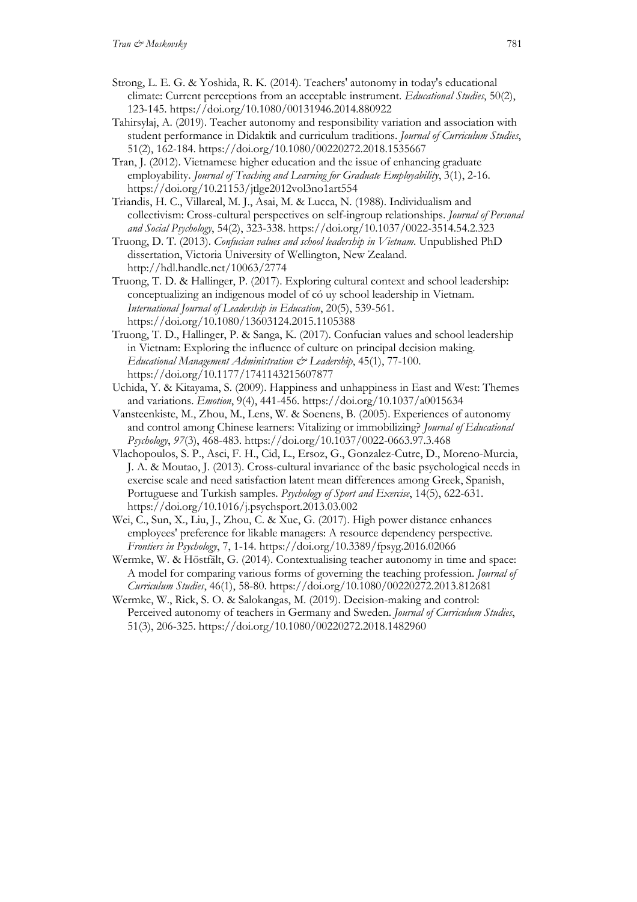- Strong, L. E. G. & Yoshida, R. K. (2014). Teachers' autonomy in today's educational climate: Current perceptions from an acceptable instrument. *Educational Studies*, 50(2), 123-145. https://doi.org/10.1080/00131946.2014.880922
- Tahirsylaj, A. (2019). Teacher autonomy and responsibility variation and association with student performance in Didaktik and curriculum traditions. *Journal of Curriculum Studies*, 51(2), 162-184. https://doi.org/10.1080/00220272.2018.1535667
- Tran, J. (2012). Vietnamese higher education and the issue of enhancing graduate employability. *Journal of Teaching and Learning for Graduate Employability*, 3(1), 2-16. https://doi.org/10.21153/jtlge2012vol3no1art554
- Triandis, H. C., Villareal, M. J., Asai, M. & Lucca, N. (1988). Individualism and collectivism: Cross-cultural perspectives on self-ingroup relationships. *Journal of Personal and Social Psychology*, 54(2), 323-338. https://doi.org/10.1037/0022-3514.54.2.323
- Truong, D. T. (2013). *Confucian values and school leadership in Vietnam*. Unpublished PhD dissertation, Victoria University of Wellington, New Zealand. http://hdl.handle.net/10063/2774
- Truong, T. D. & Hallinger, P. (2017). Exploring cultural context and school leadership: conceptualizing an indigenous model of có uy school leadership in Vietnam. *International Journal of Leadership in Education*, 20(5), 539-561. https://doi.org/10.1080/13603124.2015.1105388
- Truong, T. D., Hallinger, P. & Sanga, K. (2017). Confucian values and school leadership in Vietnam: Exploring the influence of culture on principal decision making. *Educational Management Administration & Leadership*, 45(1), 77-100. https://doi.org/10.1177/1741143215607877
- Uchida, Y. & Kitayama, S. (2009). Happiness and unhappiness in East and West: Themes and variations. *Emotion*, 9(4), 441-456. https://doi.org/10.1037/a0015634
- Vansteenkiste, M., Zhou, M., Lens, W. & Soenens, B. (2005). Experiences of autonomy and control among Chinese learners: Vitalizing or immobilizing? *Journal of Educational Psychology*, *97*(3), 468-483. https://doi.org/10.1037/0022-0663.97.3.468
- Vlachopoulos, S. P., Asci, F. H., Cid, L., Ersoz, G., Gonzalez-Cutre, D., Moreno-Murcia, J. A. & Moutao, J. (2013). Cross-cultural invariance of the basic psychological needs in exercise scale and need satisfaction latent mean differences among Greek, Spanish, Portuguese and Turkish samples. *Psychology of Sport and Exercise*, 14(5), 622-631. https://doi.org/10.1016/j.psychsport.2013.03.002
- Wei, C., Sun, X., Liu, J., Zhou, C. & Xue, G. (2017). High power distance enhances employees' preference for likable managers: A resource dependency perspective. *Frontiers in Psychology*, 7, 1-14. https://doi.org/10.3389/fpsyg.2016.02066
- Wermke, W. & Höstfält, G. (2014). Contextualising teacher autonomy in time and space: A model for comparing various forms of governing the teaching profession. *Journal of Curriculum Studies*, 46(1), 58-80. https://doi.org/10.1080/00220272.2013.812681
- Wermke, W., Rick, S. O. & Salokangas, M. (2019). Decision-making and control: Perceived autonomy of teachers in Germany and Sweden. *Journal of Curriculum Studies*, 51(3), 206-325. https://doi.org/10.1080/00220272.2018.1482960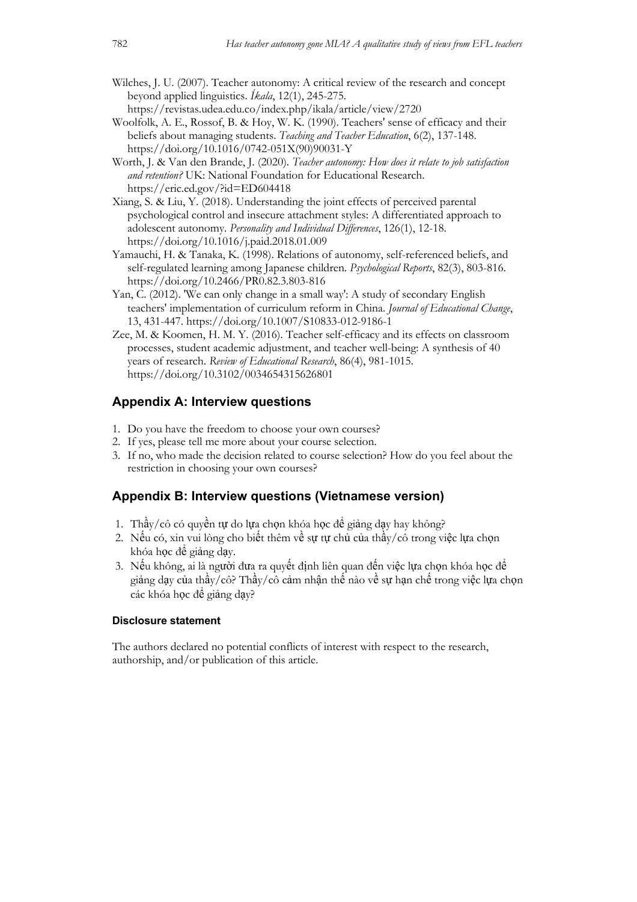- Wilches, J. U. (2007). Teacher autonomy: A critical review of the research and concept beyond applied linguistics. *Íkala*, 12(1), 245-275.
- https://revistas.udea.edu.co/index.php/ikala/article/view/2720 Woolfolk, A. E., Rossof, B. & Hoy, W. K. (1990). Teachers' sense of efficacy and their beliefs about managing students. *Teaching and Teacher Education*, 6(2), 137-148. https://doi.org/10.1016/0742-051X(90)90031-Y
- Worth, J. & Van den Brande, J. (2020). *Teacher autonomy: How does it relate to job satisfaction and retention?* UK: National Foundation for Educational Research. https://eric.ed.gov/?id=ED604418
- Xiang, S. & Liu, Y. (2018). Understanding the joint effects of perceived parental psychological control and insecure attachment styles: A differentiated approach to adolescent autonomy. *Personality and Individual Differences*, 126(1), 12-18. https://doi.org/10.1016/j.paid.2018.01.009
- Yamauchi, H. & Tanaka, K. (1998). Relations of autonomy, self-referenced beliefs, and self-regulated learning among Japanese children. *Psychological Reports*, 82(3), 803-816. https://doi.org/10.2466/PR0.82.3.803-816
- Yan, C. (2012). 'We can only change in a small way': A study of secondary English teachers' implementation of curriculum reform in China. *Journal of Educational Change*, 13, 431-447. https://doi.org/10.1007/S10833-012-9186-1
- Zee, M. & Koomen, H. M. Y. (2016). Teacher self-efficacy and its effects on classroom processes, student academic adjustment, and teacher well-being: A synthesis of 40 years of research. *Review of Educational Research*, 86(4), 981-1015. https://doi.org/10.3102/0034654315626801

### **Appendix A: Interview questions**

- 1. Do you have the freedom to choose your own courses?
- 2. If yes, please tell me more about your course selection.
- 3. If no, who made the decision related to course selection? How do you feel about the restriction in choosing your own courses?

# **Appendix B: Interview questions (Vietnamese version)**

- 1. Thầy/cô có quyền tự do lựa chọn khóa học để giảng dạy hay không?
- 2. Nếu có, xin vui lòng cho biết thêm về sự tự chủ của thầy/cô trong việc lựa chọn khóa học để giảng dạy.
- 3. Nếu không, ai là người đưa ra quyết định liên quan đến việc lựa chọn khóa học để giảng dạy của thầy/cô? Thầy/cô cảm nhận thế nào về sự hạn chế trong việc lựa chọn các khóa học để giảng day?

#### **Disclosure statement**

The authors declared no potential conflicts of interest with respect to the research, authorship, and/or publication of this article.